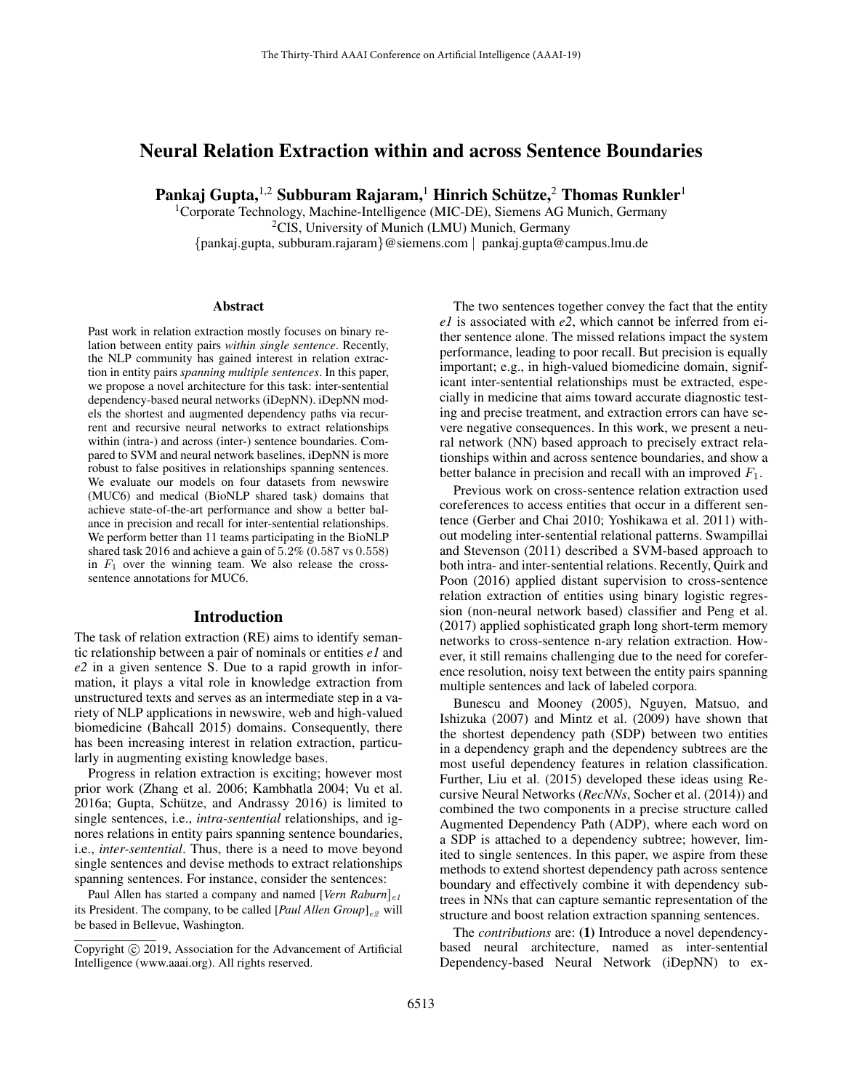# Neural Relation Extraction within and across Sentence Boundaries

Pankaj Gupta, $^{1,2}$  Subburam Rajaram, $^1$  Hinrich Schütze, $^2$  Thomas Runkler $^1$ 

<sup>1</sup>Corporate Technology, Machine-Intelligence (MIC-DE), Siemens AG Munich, Germany <sup>2</sup>CIS, University of Munich (LMU) Munich, Germany {pankaj.gupta, subburam.rajaram}@siemens.com | pankaj.gupta@campus.lmu.de

#### Abstract

Past work in relation extraction mostly focuses on binary relation between entity pairs *within single sentence*. Recently, the NLP community has gained interest in relation extraction in entity pairs *spanning multiple sentences*. In this paper, we propose a novel architecture for this task: inter-sentential dependency-based neural networks (iDepNN). iDepNN models the shortest and augmented dependency paths via recurrent and recursive neural networks to extract relationships within (intra-) and across (inter-) sentence boundaries. Compared to SVM and neural network baselines, iDepNN is more robust to false positives in relationships spanning sentences. We evaluate our models on four datasets from newswire (MUC6) and medical (BioNLP shared task) domains that achieve state-of-the-art performance and show a better balance in precision and recall for inter-sentential relationships. We perform better than 11 teams participating in the BioNLP shared task 2016 and achieve a gain of 5.2% (0.587 vs 0.558) in  $F_1$  over the winning team. We also release the crosssentence annotations for MUC6.

## Introduction

The task of relation extraction (RE) aims to identify semantic relationship between a pair of nominals or entities *e1* and *e2* in a given sentence S. Due to a rapid growth in information, it plays a vital role in knowledge extraction from unstructured texts and serves as an intermediate step in a variety of NLP applications in newswire, web and high-valued biomedicine (Bahcall 2015) domains. Consequently, there has been increasing interest in relation extraction, particularly in augmenting existing knowledge bases.

Progress in relation extraction is exciting; however most prior work (Zhang et al. 2006; Kambhatla 2004; Vu et al.  $2016a$ ; Gupta, Schütze, and Andrassy  $2016$ ) is limited to single sentences, i.e., *intra-sentential* relationships, and ignores relations in entity pairs spanning sentence boundaries, i.e., *inter-sentential*. Thus, there is a need to move beyond single sentences and devise methods to extract relationships spanning sentences. For instance, consider the sentences:

Paul Allen has started a company and named [*Vern Raburn*]<sub>e1</sub> its President. The company, to be called [*Paul Allen Group*]<sub>e2</sub> will be based in Bellevue, Washington.

The two sentences together convey the fact that the entity *e1* is associated with *e2*, which cannot be inferred from either sentence alone. The missed relations impact the system performance, leading to poor recall. But precision is equally important; e.g., in high-valued biomedicine domain, significant inter-sentential relationships must be extracted, especially in medicine that aims toward accurate diagnostic testing and precise treatment, and extraction errors can have severe negative consequences. In this work, we present a neural network (NN) based approach to precisely extract relationships within and across sentence boundaries, and show a better balance in precision and recall with an improved  $F_1$ .

Previous work on cross-sentence relation extraction used coreferences to access entities that occur in a different sentence (Gerber and Chai 2010; Yoshikawa et al. 2011) without modeling inter-sentential relational patterns. Swampillai and Stevenson (2011) described a SVM-based approach to both intra- and inter-sentential relations. Recently, Quirk and Poon (2016) applied distant supervision to cross-sentence relation extraction of entities using binary logistic regression (non-neural network based) classifier and Peng et al. (2017) applied sophisticated graph long short-term memory networks to cross-sentence n-ary relation extraction. However, it still remains challenging due to the need for coreference resolution, noisy text between the entity pairs spanning multiple sentences and lack of labeled corpora.

Bunescu and Mooney (2005), Nguyen, Matsuo, and Ishizuka (2007) and Mintz et al. (2009) have shown that the shortest dependency path (SDP) between two entities in a dependency graph and the dependency subtrees are the most useful dependency features in relation classification. Further, Liu et al. (2015) developed these ideas using Recursive Neural Networks (*RecNNs*, Socher et al. (2014)) and combined the two components in a precise structure called Augmented Dependency Path (ADP), where each word on a SDP is attached to a dependency subtree; however, limited to single sentences. In this paper, we aspire from these methods to extend shortest dependency path across sentence boundary and effectively combine it with dependency subtrees in NNs that can capture semantic representation of the structure and boost relation extraction spanning sentences.

The *contributions* are: (1) Introduce a novel dependencybased neural architecture, named as inter-sentential Dependency-based Neural Network (iDepNN) to ex-

Copyright © 2019, Association for the Advancement of Artificial Intelligence (www.aaai.org). All rights reserved.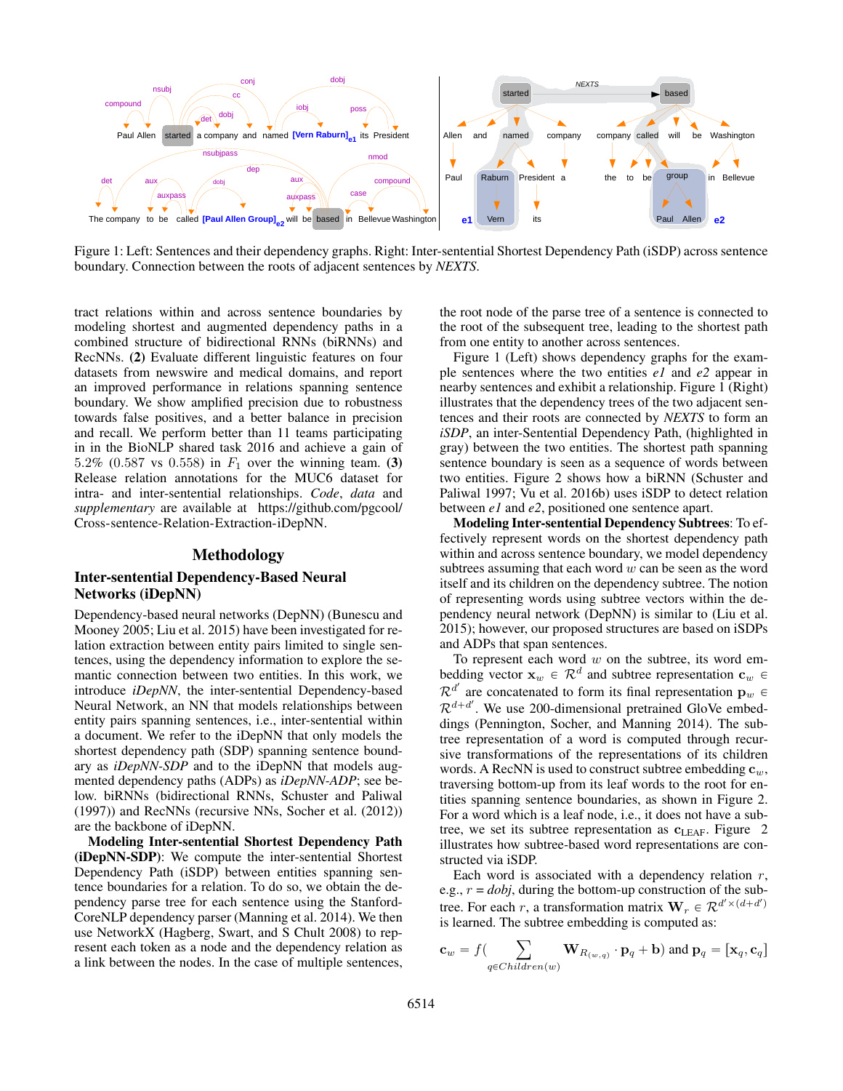

Figure 1: Left: Sentences and their dependency graphs. Right: Inter-sentential Shortest Dependency Path (iSDP) across sentence boundary. Connection between the roots of adjacent sentences by *NEXTS*.

tract relations within and across sentence boundaries by modeling shortest and augmented dependency paths in a combined structure of bidirectional RNNs (biRNNs) and RecNNs. (2) Evaluate different linguistic features on four datasets from newswire and medical domains, and report an improved performance in relations spanning sentence boundary. We show amplified precision due to robustness towards false positives, and a better balance in precision and recall. We perform better than 11 teams participating in in the BioNLP shared task 2016 and achieve a gain of 5.2% (0.587 vs 0.558) in  $F_1$  over the winning team. (3) Release relation annotations for the MUC6 dataset for intra- and inter-sentential relationships. *Code*, *data* and *supplementary* are available at https://github.com/pgcool/ Cross-sentence-Relation-Extraction-iDepNN.

#### Methodology

## Inter-sentential Dependency-Based Neural Networks (iDepNN)

Dependency-based neural networks (DepNN) (Bunescu and Mooney 2005; Liu et al. 2015) have been investigated for relation extraction between entity pairs limited to single sentences, using the dependency information to explore the semantic connection between two entities. In this work, we introduce *iDepNN*, the inter-sentential Dependency-based Neural Network, an NN that models relationships between entity pairs spanning sentences, i.e., inter-sentential within a document. We refer to the iDepNN that only models the shortest dependency path (SDP) spanning sentence boundary as *iDepNN-SDP* and to the iDepNN that models augmented dependency paths (ADPs) as *iDepNN-ADP*; see below. biRNNs (bidirectional RNNs, Schuster and Paliwal (1997)) and RecNNs (recursive NNs, Socher et al. (2012)) are the backbone of iDepNN.

Modeling Inter-sentential Shortest Dependency Path (iDepNN-SDP): We compute the inter-sentential Shortest Dependency Path (iSDP) between entities spanning sentence boundaries for a relation. To do so, we obtain the dependency parse tree for each sentence using the Stanford-CoreNLP dependency parser (Manning et al. 2014). We then use NetworkX (Hagberg, Swart, and S Chult 2008) to represent each token as a node and the dependency relation as a link between the nodes. In the case of multiple sentences,

the root node of the parse tree of a sentence is connected to the root of the subsequent tree, leading to the shortest path from one entity to another across sentences.

Figure 1 (Left) shows dependency graphs for the example sentences where the two entities *e1* and *e2* appear in nearby sentences and exhibit a relationship. Figure 1 (Right) illustrates that the dependency trees of the two adjacent sentences and their roots are connected by *NEXTS* to form an *iSDP*, an inter-Sentential Dependency Path, (highlighted in gray) between the two entities. The shortest path spanning sentence boundary is seen as a sequence of words between two entities. Figure 2 shows how a biRNN (Schuster and Paliwal 1997; Vu et al. 2016b) uses iSDP to detect relation between *e1* and *e2*, positioned one sentence apart.

Modeling Inter-sentential Dependency Subtrees: To effectively represent words on the shortest dependency path within and across sentence boundary, we model dependency subtrees assuming that each word  $w$  can be seen as the word itself and its children on the dependency subtree. The notion of representing words using subtree vectors within the dependency neural network (DepNN) is similar to (Liu et al. 2015); however, our proposed structures are based on iSDPs and ADPs that span sentences.

To represent each word  $w$  on the subtree, its word embedding vector  $\mathbf{x}_w \in \mathcal{R}^d$  and subtree representation  $\mathbf{c}_w \in$  $\mathcal{R}^{d'}$  are concatenated to form its final representation  $\mathbf{p}_w$   $\in$  $\mathcal{R}^{d+d'}$ . We use 200-dimensional pretrained GloVe embeddings (Pennington, Socher, and Manning 2014). The subtree representation of a word is computed through recursive transformations of the representations of its children words. A RecNN is used to construct subtree embedding  $c_w$ , traversing bottom-up from its leaf words to the root for entities spanning sentence boundaries, as shown in Figure 2. For a word which is a leaf node, i.e., it does not have a subtree, we set its subtree representation as  $c_{LEAF}$ . Figure 2 illustrates how subtree-based word representations are constructed via iSDP.

Each word is associated with a dependency relation  $r$ , e.g.,  $r = dobj$ , during the bottom-up construction of the subtree. For each r, a transformation matrix  $\mathbf{W}_r \in \mathcal{R}^{d' \times (d+d')}$ is learned. The subtree embedding is computed as:

$$
\mathbf{c}_w = f\big(\sum_{q \in Children(w)} \mathbf{W}_{R_{(w,q)}} \cdot \mathbf{p}_q + \mathbf{b}\big) \text{ and } \mathbf{p}_q = [\mathbf{x}_q, \mathbf{c}_q]
$$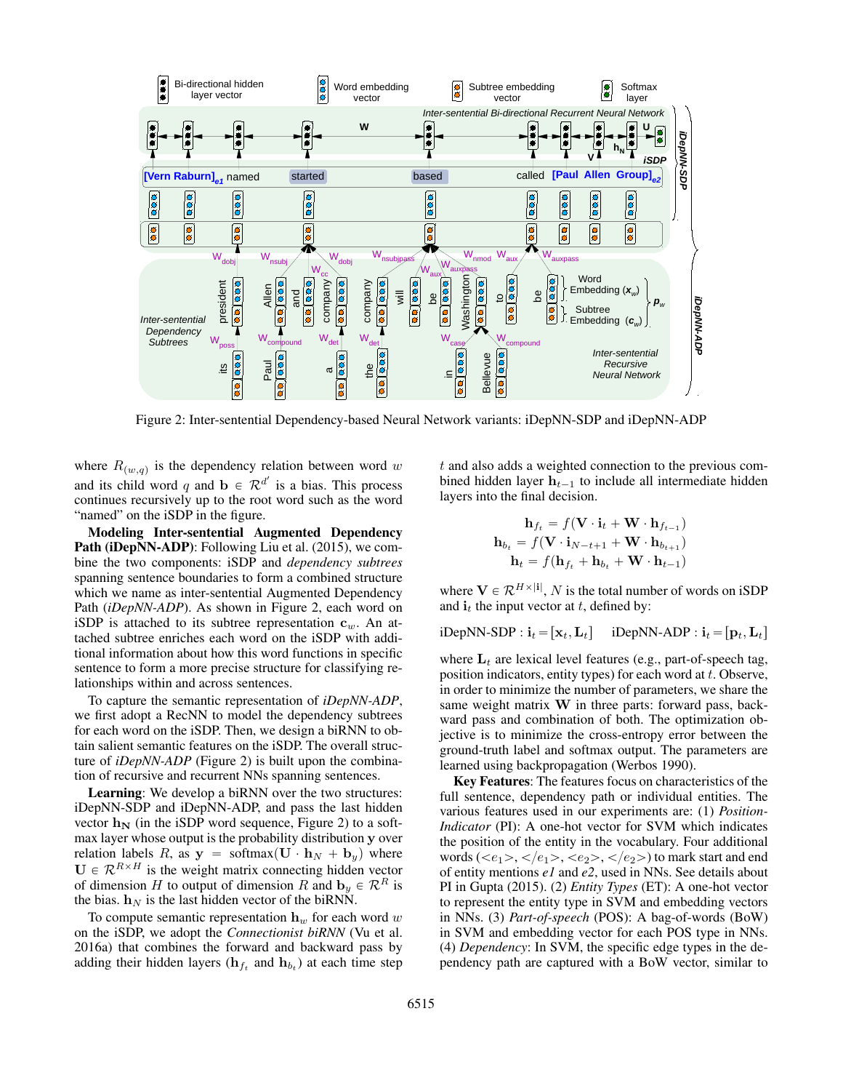

Figure 2: Inter-sentential Dependency-based Neural Network variants: iDepNN-SDP and iDepNN-ADP

where  $R_{(w,q)}$  is the dependency relation between word w and its child word q and  $\mathbf{b} \in \mathcal{R}^{d'}$  is a bias. This process continues recursively up to the root word such as the word "named" on the iSDP in the figure.

Modeling Inter-sentential Augmented Dependency **Path (iDepNN-ADP)**: Following Liu et al. (2015), we combine the two components: iSDP and *dependency subtrees* spanning sentence boundaries to form a combined structure which we name as inter-sentential Augmented Dependency Path (*iDepNN-ADP*). As shown in Figure 2, each word on iSDP is attached to its subtree representation  $c_w$ . An attached subtree enriches each word on the iSDP with additional information about how this word functions in specific sentence to form a more precise structure for classifying relationships within and across sentences.

To capture the semantic representation of *iDepNN-ADP*, we first adopt a RecNN to model the dependency subtrees for each word on the iSDP. Then, we design a biRNN to obtain salient semantic features on the iSDP. The overall structure of *iDepNN-ADP* (Figure 2) is built upon the combination of recursive and recurrent NNs spanning sentences.

Learning: We develop a biRNN over the two structures: iDepNN-SDP and iDepNN-ADP, and pass the last hidden vector  $h_N$  (in the iSDP word sequence, Figure 2) to a softmax layer whose output is the probability distribution y over relation labels R, as  $y = softmax(U \cdot h_N + b_y)$  where  $U \in \mathcal{R}^{R \times H}$  is the weight matrix connecting hidden vector of dimension H to output of dimension R and  $\mathbf{b}_y \in \mathcal{R}^R$  is the bias.  $h_N$  is the last hidden vector of the biRNN.

To compute semantic representation  $h_w$  for each word w on the iSDP, we adopt the *Connectionist biRNN* (Vu et al. 2016a) that combines the forward and backward pass by adding their hidden layers ( $\mathbf{h}_{f_t}$  and  $\mathbf{h}_{b_t}$ ) at each time step

t and also adds a weighted connection to the previous combined hidden layer  $h_{t-1}$  to include all intermediate hidden layers into the final decision.

$$
\mathbf{h}_{f_t} = f(\mathbf{V} \cdot \mathbf{i}_t + \mathbf{W} \cdot \mathbf{h}_{f_{t-1}})
$$

$$
\mathbf{h}_{b_t} = f(\mathbf{V} \cdot \mathbf{i}_{N-t+1} + \mathbf{W} \cdot \mathbf{h}_{b_{t+1}})
$$

$$
\mathbf{h}_t = f(\mathbf{h}_{f_t} + \mathbf{h}_{b_t} + \mathbf{W} \cdot \mathbf{h}_{t-1})
$$

where  $\mathbf{V} \in \mathcal{R}^{H \times |\mathbf{i}|}$ , N is the total number of words on iSDP and  $\mathbf{i}_t$  the input vector at t, defined by:

iDepNN-SDP :  $\mathbf{i}_t = [\mathbf{x}_t, \mathbf{L}_t]$  iDepNN-ADP :  $\mathbf{i}_t = [\mathbf{p}_t, \mathbf{L}_t]$ 

where  $L_t$  are lexical level features (e.g., part-of-speech tag, position indicators, entity types) for each word at  $t$ . Observe, in order to minimize the number of parameters, we share the same weight matrix W in three parts: forward pass, backward pass and combination of both. The optimization objective is to minimize the cross-entropy error between the ground-truth label and softmax output. The parameters are learned using backpropagation (Werbos 1990).

Key Features: The features focus on characteristics of the full sentence, dependency path or individual entities. The various features used in our experiments are: (1) *Position-Indicator* (PI): A one-hot vector for SVM which indicates the position of the entity in the vocabulary. Four additional words ( $\langle e_1 \rangle$ ,  $\langle e_1 \rangle$ ,  $\langle e_2 \rangle$ ,  $\langle e_2 \rangle$ ) to mark start and end of entity mentions *e1* and *e2*, used in NNs. See details about PI in Gupta (2015). (2) *Entity Types* (ET): A one-hot vector to represent the entity type in SVM and embedding vectors in NNs. (3) *Part-of-speech* (POS): A bag-of-words (BoW) in SVM and embedding vector for each POS type in NNs. (4) *Dependency*: In SVM, the specific edge types in the dependency path are captured with a BoW vector, similar to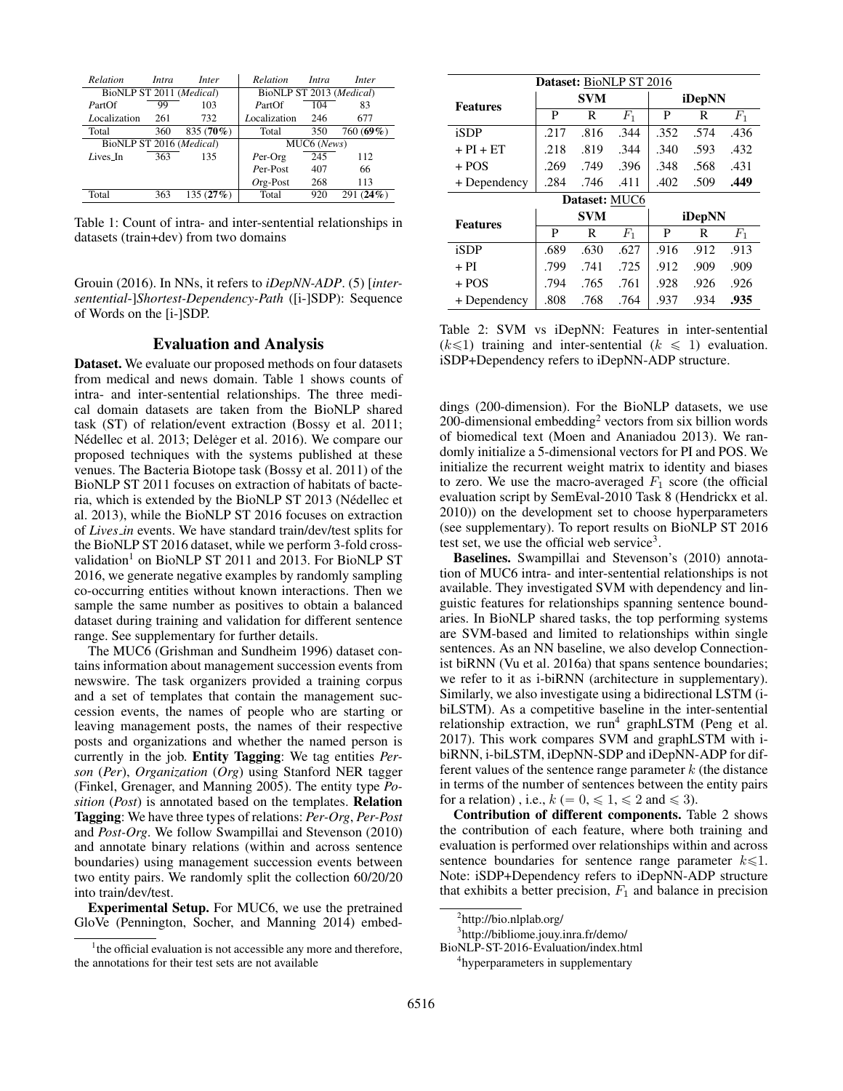| Relation                 | Intra | Inter     | Relation                 | Intra       | Inter           |
|--------------------------|-------|-----------|--------------------------|-------------|-----------------|
| BioNLP ST 2011 (Medical) |       |           | BioNLP ST 2013 (Medical) |             |                 |
| PartOf                   | 99    | 103       | PartOf                   | 104         | 83              |
| Localization             | 261   | 732       | Localization             | 246         | 677             |
| Total                    | 360   | 835 (70%) | Total                    | 350         | 760 (69%)       |
| BioNLP ST 2016 (Medical) |       |           |                          | MUC6 (News) |                 |
| Lives_In                 | 363   | 135       | $Per-Org$                | 245         | 112             |
|                          |       |           | Per-Post                 | 407         | 66              |
|                          |       |           | $Org-Post$               | 268         | 113             |
| Total                    | 363   | 135(27%)  | Total                    | 920         | $(24\%)$<br>291 |
|                          |       |           |                          |             |                 |

Table 1: Count of intra- and inter-sentential relationships in datasets (train+dev) from two domains

Grouin (2016). In NNs, it refers to *iDepNN-ADP*. (5) [*intersentential*-]*Shortest-Dependency-Path* ([i-]SDP): Sequence of Words on the [i-]SDP.

### Evaluation and Analysis

Dataset. We evaluate our proposed methods on four datasets from medical and news domain. Table 1 shows counts of intra- and inter-sentential relationships. The three medical domain datasets are taken from the BioNLP shared task (ST) of relation/event extraction (Bossy et al. 2011; Nédellec et al. 2013; Deleger et al. 2016). We compare our proposed techniques with the systems published at these venues. The Bacteria Biotope task (Bossy et al. 2011) of the BioNLP ST 2011 focuses on extraction of habitats of bacteria, which is extended by the BioNLP ST 2013 (Nedellec et ´ al. 2013), while the BioNLP ST 2016 focuses on extraction of *Lives in* events. We have standard train/dev/test splits for the BioNLP ST 2016 dataset, while we perform 3-fold crossvalidation<sup>1</sup> on BioNLP ST 2011 and 2013. For BioNLP ST 2016, we generate negative examples by randomly sampling co-occurring entities without known interactions. Then we sample the same number as positives to obtain a balanced dataset during training and validation for different sentence range. See supplementary for further details.

The MUC6 (Grishman and Sundheim 1996) dataset contains information about management succession events from newswire. The task organizers provided a training corpus and a set of templates that contain the management succession events, the names of people who are starting or leaving management posts, the names of their respective posts and organizations and whether the named person is currently in the job. Entity Tagging: We tag entities *Person* (*Per*), *Organization* (*Org*) using Stanford NER tagger (Finkel, Grenager, and Manning 2005). The entity type *Position* (*Post*) is annotated based on the templates. Relation Tagging: We have three types of relations: *Per-Org*, *Per-Post* and *Post-Org*. We follow Swampillai and Stevenson (2010) and annotate binary relations (within and across sentence boundaries) using management succession events between two entity pairs. We randomly split the collection 60/20/20 into train/dev/test.

Experimental Setup. For MUC6, we use the pretrained GloVe (Pennington, Socher, and Manning 2014) embed-

| Dataset: BioNLP ST 2016 |      |               |       |        |      |       |  |  |  |  |  |  |  |
|-------------------------|------|---------------|-------|--------|------|-------|--|--|--|--|--|--|--|
| <b>Features</b>         |      | <b>SVM</b>    |       | iDepNN |      |       |  |  |  |  |  |  |  |
|                         | P    | R             | $F_1$ | P      | R    | $F_1$ |  |  |  |  |  |  |  |
| iSDP                    | .217 | .816          | .344  | .352   | .574 | .436  |  |  |  |  |  |  |  |
| $+ PI + ET$             | .218 | .819          | .344  | .340   | .593 | .432  |  |  |  |  |  |  |  |
| $+$ POS                 | .269 | .749          | .396  | .348   | .568 | .431  |  |  |  |  |  |  |  |
| + Dependency            | .284 | .746          | .402  | .509   | .449 |       |  |  |  |  |  |  |  |
|                         |      | Dataset: MUC6 |       |        |      |       |  |  |  |  |  |  |  |
| <b>Features</b>         |      | <b>SVM</b>    |       | iDepNN |      |       |  |  |  |  |  |  |  |
|                         | P    | R             | $F_1$ | P      | R    | $F_1$ |  |  |  |  |  |  |  |
| iSDP                    | .689 | .630          | .627  | .916   | .912 | .913  |  |  |  |  |  |  |  |
| $+ PI$                  | .799 | .741          | .725  | .912   | .909 | .909  |  |  |  |  |  |  |  |
|                         |      |               |       |        |      |       |  |  |  |  |  |  |  |
| $+$ POS                 | .794 | .765          | .761  | .928   | .926 | .926  |  |  |  |  |  |  |  |

Table 2: SVM vs iDepNN: Features in inter-sentential  $(k \leq 1)$  training and inter-sentential  $(k \leq 1)$  evaluation. iSDP+Dependency refers to iDepNN-ADP structure.

dings (200-dimension). For the BioNLP datasets, we use 200-dimensional embedding<sup>2</sup> vectors from six billion words of biomedical text (Moen and Ananiadou 2013). We randomly initialize a 5-dimensional vectors for PI and POS. We initialize the recurrent weight matrix to identity and biases to zero. We use the macro-averaged  $F_1$  score (the official evaluation script by SemEval-2010 Task 8 (Hendrickx et al. 2010)) on the development set to choose hyperparameters (see supplementary). To report results on BioNLP ST 2016 test set, we use the official web service<sup>3</sup>.

Baselines. Swampillai and Stevenson's (2010) annotation of MUC6 intra- and inter-sentential relationships is not available. They investigated SVM with dependency and linguistic features for relationships spanning sentence boundaries. In BioNLP shared tasks, the top performing systems are SVM-based and limited to relationships within single sentences. As an NN baseline, we also develop Connectionist biRNN (Vu et al. 2016a) that spans sentence boundaries; we refer to it as i-biRNN (architecture in supplementary). Similarly, we also investigate using a bidirectional LSTM (ibiLSTM). As a competitive baseline in the inter-sentential relationship extraction, we run<sup>4</sup> graphLSTM (Peng et al. 2017). This work compares SVM and graphLSTM with ibiRNN, i-biLSTM, iDepNN-SDP and iDepNN-ADP for different values of the sentence range parameter  $k$  (the distance in terms of the number of sentences between the entity pairs for a relation), i.e.,  $k (= 0, \leq 1, \leq 2$  and  $\leq 3$ .

Contribution of different components. Table 2 shows the contribution of each feature, where both training and evaluation is performed over relationships within and across sentence boundaries for sentence range parameter  $k \le 1$ . Note: iSDP+Dependency refers to iDepNN-ADP structure that exhibits a better precision,  $F_1$  and balance in precision

3 http://bibliome.jouy.inra.fr/demo/

BioNLP-ST-2016-Evaluation/index.html

4 hyperparameters in supplementary

<sup>&</sup>lt;sup>1</sup>the official evaluation is not accessible any more and therefore, the annotations for their test sets are not available

<sup>&</sup>lt;sup>2</sup>http://bio.nlplab.org/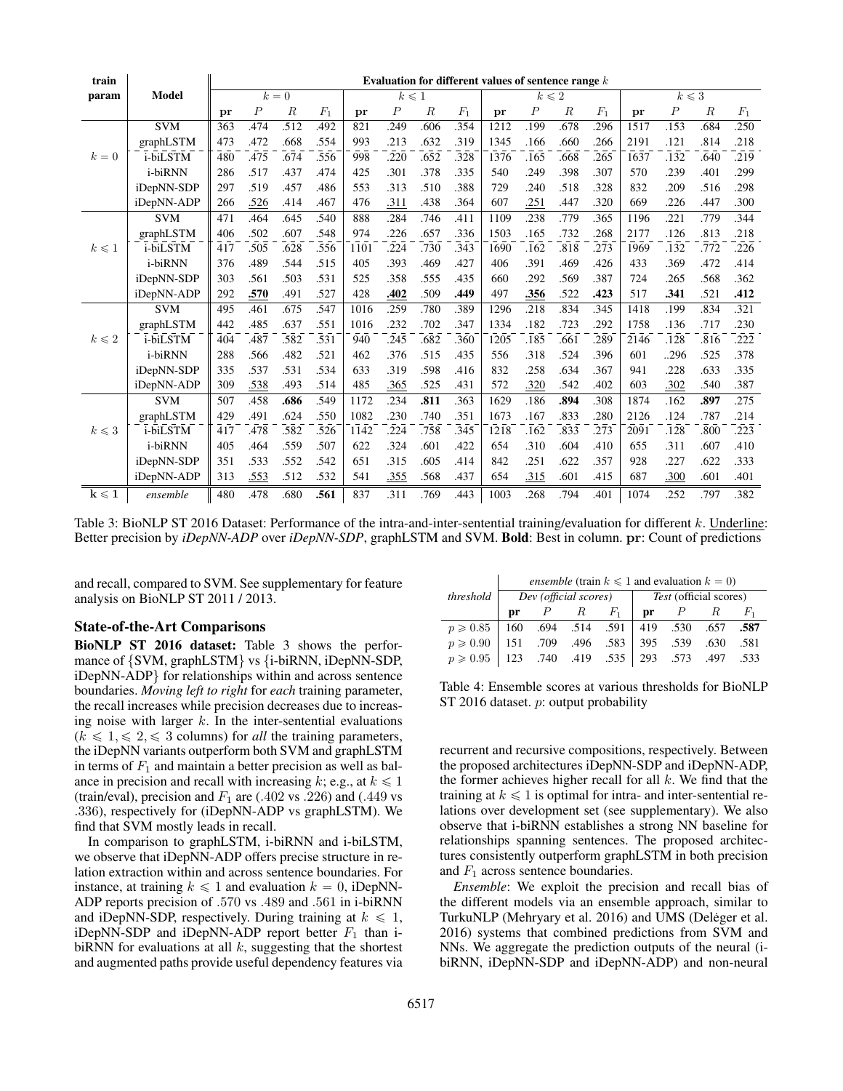| train           |            |       | Evaluation for different values of sentence range $k$ |                  |       |      |                  |                  |       |      |                  |                  |       |                          |                  |                  |       |
|-----------------|------------|-------|-------------------------------------------------------|------------------|-------|------|------------------|------------------|-------|------|------------------|------------------|-------|--------------------------|------------------|------------------|-------|
| param           | Model      | $k=0$ |                                                       |                  |       |      | $k \leqslant 1$  |                  |       |      | $k\leqslant 2$   |                  |       | $k\leqslant \overline 3$ |                  |                  |       |
|                 |            | pr    | $\boldsymbol{P}$                                      | $\boldsymbol{R}$ | $F_1$ | pr   | $\boldsymbol{P}$ | $\boldsymbol{R}$ | $F_1$ | pr   | $\boldsymbol{P}$ | $\boldsymbol{R}$ | $F_1$ | pr                       | $\boldsymbol{P}$ | $\boldsymbol{R}$ | $F_1$ |
|                 | <b>SVM</b> | 363   | .474                                                  | .512             | 492   | 821  | .249             | .606             | .354  | 1212 | .199             | .678             | .296  | 1517                     | .153             | .684             | .250  |
|                 | graphLSTM  | 473   | .472                                                  | .668             | .554  | 993  | .213             | .632             | .319  | 1345 | .166             | .660             | .266  | 2191                     | .121             | .814             | .218  |
| $k=0$           | i-biLSTM   | 480   | .475                                                  | .674             | .556  | 998  | .220             | .652             | .328  | 1376 | .165             | .668             | .265  | 1637                     | .132             | .640             | .219  |
|                 | i-biRNN    | 286   | .517                                                  | .437             | .474  | 425  | .301             | .378             | .335  | 540  | .249             | .398             | .307  | 570                      | .239             | .401             | .299  |
|                 | iDepNN-SDP | 297   | .519                                                  | .457             | .486  | 553  | .313             | .510             | .388  | 729  | .240             | .518             | .328  | 832                      | .209             | .516             | .298  |
|                 | iDepNN-ADP | 266   | .526                                                  | .414             | .467  | 476  | .311             | .438             | .364  | 607  | .251             | .447             | .320  | 669                      | .226             | .447             | .300  |
|                 | <b>SVM</b> | 471   | .464                                                  | .645             | .540  | 888  | .284             | .746             | .411  | 1109 | .238             | .779             | .365  | 1196                     | .221             | .779             | .344  |
|                 | graphLSTM  | 406   | .502                                                  | .607             | .548  | 974  | .226             | .657             | .336  | 1503 | .165             | .732             | .268  | 2177                     | .126             | .813             | .218  |
| $k \leqslant 1$ | i-biLSTM   | 417   | .505                                                  | .628             | .556  | 1101 | .224             | .730             | .343  | 1690 | .162             | .818             | .273  | 1969                     | .132             | .772             | .226  |
|                 | i-biRNN    | 376   | .489                                                  | .544             | .515  | 405  | .393             | .469             | .427  | 406  | .391             | .469             | .426  | 433                      | .369             | .472             | .414  |
|                 | iDepNN-SDP | 303   | .561                                                  | .503             | .531  | 525  | .358             | .555             | .435  | 660  | .292             | .569             | .387  | 724                      | .265             | .568             | .362  |
|                 | iDepNN-ADP | 292   | .570                                                  | .491             | .527  | 428  | .402             | .509             | .449  | 497  | .356             | .522             | .423  | 517                      | .341             | .521             | .412  |
|                 | <b>SVM</b> | 495   | .461                                                  | .675             | .547  | 1016 | .259             | .780             | .389  | 1296 | .218             | .834             | .345  | 1418                     | .199             | .834             | .321  |
|                 | graphLSTM  | 442   | .485                                                  | .637             | .551  | 1016 | .232             | .702             | .347  | 1334 | .182             | .723             | .292  | 1758                     | .136             | .717             | .230  |
| $k \leqslant 2$ | i-biLSTM   | 404   | .487                                                  | .582             | .531  | 940  | .245             | .682             | .360  | 1205 | .185             | .661             | .289  | 2146                     | .128             | .816             | .222  |
|                 | i-biRNN    | 288   | .566                                                  | .482             | .521  | 462  | .376             | .515             | .435  | 556  | .318             | .524             | .396  | 601                      | 296              | .525             | .378  |
|                 | iDepNN-SDP | 335   | .537                                                  | .531             | .534  | 633  | .319             | .598             | .416  | 832  | .258             | .634             | .367  | 941                      | .228             | .633             | .335  |
|                 | iDepNN-ADP | 309   | .538                                                  | .493             | .514  | 485  | .365             | .525             | .431  | 572  | .320             | .542             | .402  | 603                      | .302             | .540             | .387  |
|                 | <b>SVM</b> | 507   | .458                                                  | .686             | .549  | 1172 | .234             | .811             | .363  | 1629 | .186             | .894             | .308  | 1874                     | .162             | .897             | .275  |
|                 | graphLSTM  | 429   | .491                                                  | .624             | .550  | 1082 | .230             | .740             | .351  | 1673 | .167             | .833             | .280  | 2126                     | .124             | .787             | .214  |
| $k \leqslant 3$ | i-biLSTM   | 417   | .478                                                  | .582             | .526  | 1142 | .224             | .758             | .345  | 1218 | .162             | .833             | .273  | 2091                     | .128             | .800             | .223  |
|                 | i-biRNN    | 405   | .464                                                  | .559             | .507  | 622  | .324             | .601             | .422  | 654  | .310             | .604             | .410  | 655                      | .311             | .607             | .410  |
|                 | iDepNN-SDP | 351   | .533                                                  | .552             | .542  | 651  | .315             | .605             | .414  | 842  | .251             | .622             | .357  | 928                      | .227             | .622             | .333  |
|                 | iDepNN-ADP | 313   | .553                                                  | .512             | .532  | 541  | .355             | .568             | .437  | 654  | .315             | .601             | .415  | 687                      | .300             | .601             | .401  |
| $k \leqslant 1$ | ensemble   | 480   | .478                                                  | .680             | .561  | 837  | .311             | .769             | .443  | 1003 | .268             | .794             | .401  | 1074                     | .252             | .797             | .382  |

Table 3: BioNLP ST 2016 Dataset: Performance of the intra-and-inter-sentential training/evaluation for different k. Underline: Better precision by *iDepNN-ADP* over *iDepNN-SDP*, graphLSTM and SVM. Bold: Best in column. pr: Count of predictions

and recall, compared to SVM. See supplementary for feature analysis on BioNLP ST 2011 / 2013.

### State-of-the-Art Comparisons

BioNLP ST 2016 dataset: Table 3 shows the performance of  $\{SVM, graphLSTM\}$  vs  $\{i\text{-}b\text{iRNN}, i\text{DepNN-SDP},\}$ iDepNN-ADP} for relationships within and across sentence boundaries. *Moving left to right* for *each* training parameter, the recall increases while precision decreases due to increasing noise with larger  $k$ . In the inter-sentential evaluations  $(k \leq 1, \leq 2, \leq 3$  columns) for *all* the training parameters, the iDepNN variants outperform both SVM and graphLSTM in terms of  $F_1$  and maintain a better precision as well as balance in precision and recall with increasing k; e.g., at  $k \le 1$ (train/eval), precision and  $F_1$  are (.402 vs .226) and (.449 vs .336), respectively for (iDepNN-ADP vs graphLSTM). We find that SVM mostly leads in recall.

In comparison to graphLSTM, i-biRNN and i-biLSTM, we observe that iDepNN-ADP offers precise structure in relation extraction within and across sentence boundaries. For instance, at training  $k \leq 1$  and evaluation  $k = 0$ , iDepNN-ADP reports precision of .570 vs .489 and .561 in i-biRNN and iDepNN-SDP, respectively. During training at  $k \leq 1$ , iDepNN-SDP and iDepNN-ADP report better  $F_1$  than ibiRNN for evaluations at all  $k$ , suggesting that the shortest and augmented paths provide useful dependency features via

|                                                        |              | <i>ensemble</i> (train $k \leq 1$ and evaluation $k = 0$ ) |       |                        |                               |                       |  |                |  |  |  |  |  |  |  |
|--------------------------------------------------------|--------------|------------------------------------------------------------|-------|------------------------|-------------------------------|-----------------------|--|----------------|--|--|--|--|--|--|--|
| threshold                                              |              |                                                            |       | Dev ( official scores) | <i>Test</i> (official scores) |                       |  |                |  |  |  |  |  |  |  |
|                                                        | $\mathbf{p}$ |                                                            | $P$ R | $F_1$                  |                               | $\mathbf{pr}$ $P$ $R$ |  | F <sub>1</sub> |  |  |  |  |  |  |  |
| $p \ge 0.85$   160 .694 .514 .591   419 .530 .657 .587 |              |                                                            |       |                        |                               |                       |  |                |  |  |  |  |  |  |  |
| $p \geqslant 0.90$                                     |              |                                                            |       | 151 .709 .496 .583     |                               | 395 .539 .630         |  | .581           |  |  |  |  |  |  |  |
| $p \geqslant 0.95$                                     |              | 123 .740 .419 .535                                         |       |                        |                               | 293 .573 .497 .533    |  |                |  |  |  |  |  |  |  |

Table 4: Ensemble scores at various thresholds for BioNLP ST 2016 dataset. p: output probability

recurrent and recursive compositions, respectively. Between the proposed architectures iDepNN-SDP and iDepNN-ADP, the former achieves higher recall for all  $k$ . We find that the training at  $k \leq 1$  is optimal for intra- and inter-sentential relations over development set (see supplementary). We also observe that i-biRNN establishes a strong NN baseline for relationships spanning sentences. The proposed architectures consistently outperform graphLSTM in both precision and  $F_1$  across sentence boundaries.

*Ensemble*: We exploit the precision and recall bias of the different models via an ensemble approach, similar to TurkuNLP (Mehryary et al. 2016) and UMS (Deleger et al. 2016) systems that combined predictions from SVM and NNs. We aggregate the prediction outputs of the neural (ibiRNN, iDepNN-SDP and iDepNN-ADP) and non-neural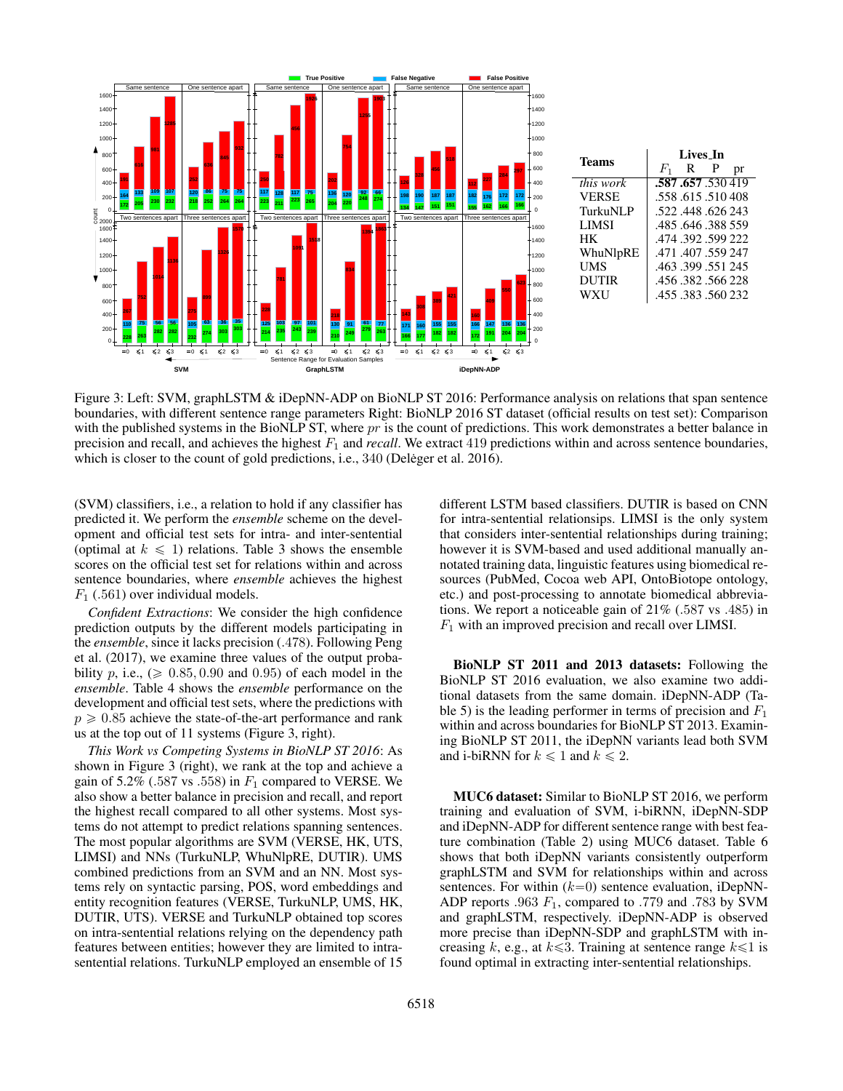

Figure 3: Left: SVM, graphLSTM & iDepNN-ADP on BioNLP ST 2016: Performance analysis on relations that span sentence boundaries, with different sentence range parameters Right: BioNLP 2016 ST dataset (official results on test set): Comparison with the published systems in the BioNLP ST, where  $pr$  is the count of predictions. This work demonstrates a better balance in precision and recall, and achieves the highest  $F_1$  and *recall*. We extract 419 predictions within and across sentence boundaries, which is closer to the count of gold predictions, i.e., (Deleger et al. 2016).

(SVM) classifiers, i.e., a relation to hold if any classifier has predicted it. We perform the *ensemble* scheme on the development and official test sets for intra- and inter-sentential (optimal at  $k \leq 1$ ) relations. Table 3 shows the ensemble scores on the official test set for relations within and across sentence boundaries, where *ensemble* achieves the highest  $F_1$  (.561) over individual models.

*Confident Extractions*: We consider the high confidence prediction outputs by the different models participating in the *ensemble*, since it lacks precision (.478). Following Peng et al. (2017), we examine three values of the output probability p, i.e.,  $(\geq 0.85, 0.90, \text{ and } 0.95)$  of each model in the *ensemble*. Table 4 shows the *ensemble* performance on the development and official test sets, where the predictions with  $p \geq 0.85$  achieve the state-of-the-art performance and rank us at the top out of 11 systems (Figure 3, right).

*This Work vs Competing Systems in BioNLP ST 2016*: As shown in Figure 3 (right), we rank at the top and achieve a gain of 5.2% (.587 vs .558) in  $F_1$  compared to VERSE. We also show a better balance in precision and recall, and report the highest recall compared to all other systems. Most systems do not attempt to predict relations spanning sentences. The most popular algorithms are SVM (VERSE, HK, UTS, LIMSI) and NNs (TurkuNLP, WhuNlpRE, DUTIR). UMS combined predictions from an SVM and an NN. Most systems rely on syntactic parsing, POS, word embeddings and entity recognition features (VERSE, TurkuNLP, UMS, HK, DUTIR, UTS). VERSE and TurkuNLP obtained top scores on intra-sentential relations relying on the dependency path features between entities; however they are limited to intrasentential relations. TurkuNLP employed an ensemble of 15

different LSTM based classifiers. DUTIR is based on CNN for intra-sentential relationsips. LIMSI is the only system that considers inter-sentential relationships during training; however it is SVM-based and used additional manually annotated training data, linguistic features using biomedical resources (PubMed, Cocoa web API, OntoBiotope ontology, etc.) and post-processing to annotate biomedical abbreviations. We report a noticeable gain of 21% (.587 vs .485) in  $F_1$  with an improved precision and recall over LIMSI.

BioNLP ST 2011 and 2013 datasets: Following the BioNLP ST 2016 evaluation, we also examine two additional datasets from the same domain. iDepNN-ADP (Table 5) is the leading performer in terms of precision and  $F_1$ within and across boundaries for BioNLP ST 2013. Examining BioNLP ST 2011, the iDepNN variants lead both SVM and i-biRNN for  $k \leq 1$  and  $k \leq 2$ .

MUC6 dataset: Similar to BioNLP ST 2016, we perform training and evaluation of SVM, i-biRNN, iDepNN-SDP and iDepNN-ADP for different sentence range with best feature combination (Table 2) using MUC6 dataset. Table 6 shows that both iDepNN variants consistently outperform graphLSTM and SVM for relationships within and across sentences. For within  $(k=0)$  sentence evaluation, iDepNN-ADP reports .963  $F_1$ , compared to .779 and .783 by SVM and graphLSTM, respectively. iDepNN-ADP is observed more precise than iDepNN-SDP and graphLSTM with increasing k, e.g., at  $k \le 3$ . Training at sentence range  $k \le 1$  is found optimal in extracting inter-sentential relationships.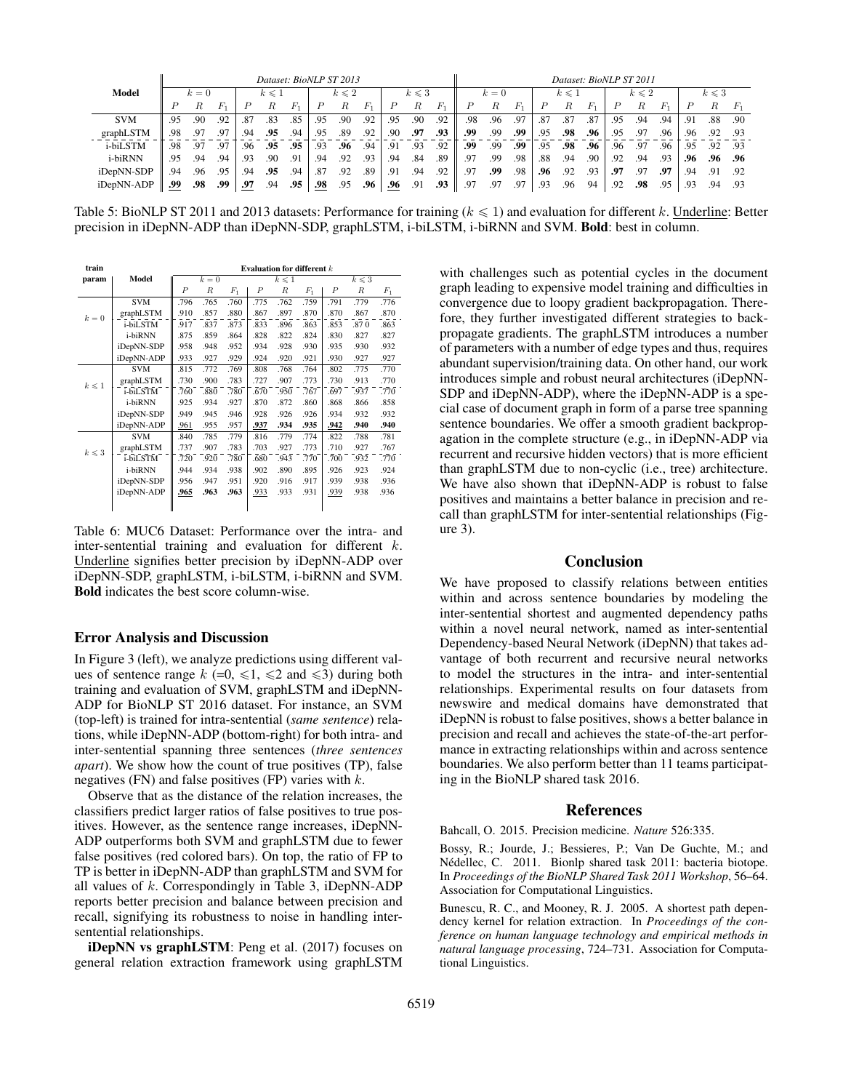|            |     |       |     |     |                 | Dataset: BioNLP ST 2013 |     |                 |         |            |                 |         |                |       |         |     |                 | Dataset: BioNLP ST 2011 |     |                 |       |     |                 |     |
|------------|-----|-------|-----|-----|-----------------|-------------------------|-----|-----------------|---------|------------|-----------------|---------|----------------|-------|---------|-----|-----------------|-------------------------|-----|-----------------|-------|-----|-----------------|-----|
| Model      |     | $k=0$ |     |     | $k \leqslant 1$ |                         |     | $k \leqslant 2$ |         |            | $k \leqslant 3$ |         |                | $k=0$ |         |     | $k \leqslant 1$ |                         |     | $k \leqslant 2$ |       |     | $k \leqslant 3$ |     |
|            |     | R     | F.  |     | к               | $F_{1}$                 |     |                 | $F_{1}$ |            | R               | $F_{1}$ |                |       | $F_{1}$ |     | R               | $F_{1}$                 |     | R               | $F_1$ |     |                 |     |
| <b>SVM</b> | .95 | .90   | .92 | .87 | .83             | .85                     | .95 | .90             | .92     | .95        | .90             | .92     | .98            | .96   | .97     | .87 | .87             | .87                     | .95 | .94             | .94   | .91 | .88             | .90 |
| graphLSTM  | .98 | .97   | .97 | .94 | .95             | .94                     | .95 | .89             | .92     | .90        | .97             | .93     | .99            | .99   | .99     | .95 | .98             | .96                     | .95 | .97             | .96   | .96 | .92             | .93 |
| i-biLSTM   | .98 | .97   | .97 | .96 | .95             | .95                     | .93 | .96             | .94     | .91        | .93             | .92     | .99            | .99   | .99     | .95 | .98             | .96                     | .96 | .97             | .96   | .95 | .92             | .93 |
| i-biRNN    | .95 | .94   | .94 | .93 | .90             | .91                     | .94 | .92             | .93     | .94        | .84             | .89     | .97            | .99   | .98     | .88 | .94             | .90                     | .92 | .94             | .93   | .96 | .96             | .96 |
| iDepNN-SDP | .94 | .96   | .95 | .94 | .95             | .94                     | .87 | .92             | .89     | .91        | .94             | .92     | .97            | .99   | .98     | .96 | .92             | .93                     | .97 | .97             | .97   | .94 | .91             | .92 |
| iDepNN-ADP | .99 | .98   | .99 | .97 | .94             | .95                     | .98 | .95             | .96     | <u>.96</u> | .91             | .93     | Q <sub>7</sub> | .97   | .97     | .93 | .96             | 94                      | .92 | .98             | .95   | .93 | .94             | .93 |

Table 5: BioNLP ST 2011 and 2013 datasets: Performance for training ( $k \le 1$ ) and evaluation for different k. Underline: Better precision in iDepNN-ADP than iDepNN-SDP, graphLSTM, i-biLSTM, i-biRNN and SVM. Bold: best in column.

| train          |            | Evaluation for different $k$ |       |         |                  |                 |                 |                  |                  |       |  |  |  |  |
|----------------|------------|------------------------------|-------|---------|------------------|-----------------|-----------------|------------------|------------------|-------|--|--|--|--|
| param          | Model      |                              | $k=0$ |         |                  | $k \leqslant 1$ | $k \leqslant 3$ |                  |                  |       |  |  |  |  |
|                |            | $\boldsymbol{P}$             | R     | $F_{1}$ | $\boldsymbol{P}$ | $_{R}$          | $F_{1}$         | $\boldsymbol{P}$ | $\boldsymbol{R}$ | $F_1$ |  |  |  |  |
|                | <b>SVM</b> | .796                         | .765  | .760    | .775             | .762            | .759            | .791             | .779             | .776  |  |  |  |  |
| $k=0$          | graphLSTM  | .910                         | .857  | .880    | .867             | .897            | .870            | .870             | .867             | .870  |  |  |  |  |
|                | i-biLSTM   | .917                         | .837  | .873    | .833             | .896            | .863            | .853             | .870             | .863  |  |  |  |  |
|                | i-biRNN    | .875                         | .859  | .864    | .828             | .822            | .824            | .830             | .827             | .827  |  |  |  |  |
|                | iDepNN-SDP | .958                         | .948  | .952    | .934             | .928            | .930            | .935             | .930             | .932  |  |  |  |  |
|                | iDepNN-ADP | .933                         | .927  | .929    | .924             | .920            | .921            | .930             | .927             | .927  |  |  |  |  |
|                | <b>SVM</b> | .815                         | .772  | .769    | .808             | .768            | .764            | .802             | .775             | .770  |  |  |  |  |
| $k \leq 1$     | graphLSTM  | .730                         | .900  | .783    | .727             | .907            | .773            | .730             | .913             | .770  |  |  |  |  |
|                | i-biLSTM   | .760                         | .880  | .780    | .670             | .950            | .767            | .697             | .937             | .770  |  |  |  |  |
|                | i-biRNN    | .925                         | .934  | .927    | .870             | .872            | .860            | .868             | .866             | .858  |  |  |  |  |
|                | iDepNN-SDP | .949                         | .945  | .946    | .928             | .926            | .926            | .934             | .932             | .932  |  |  |  |  |
|                | iDepNN-ADP | .961                         | .955  | .957    | .937             | .934            | .935            | .942             | .940             | .940  |  |  |  |  |
|                | <b>SVM</b> | .840                         | .785  | .779    | .816             | .779            | .774            | .822             | .788             | .781  |  |  |  |  |
| $k\leqslant 3$ | graphLSTM  | .737                         | .907  | .783    | .703             | .927            | .773            | .710             | .927             | .767  |  |  |  |  |
|                | i-biLSTM   | .720                         | .920  | .780    | .680             | .943            | .770            | .700             | .932             | .770  |  |  |  |  |
|                | i-biRNN    | .944                         | .934  | .938    | .902             | .890            | .895            | .926             | .923             | .924  |  |  |  |  |
|                | iDepNN-SDP | .956                         | .947  | .951    | .920             | .916            | .917            | .939             | .938             | .936  |  |  |  |  |
|                | iDepNN-ADP | .965                         | .963  | .963    | .933             | .933            | .931            | .939             | .938             | .936  |  |  |  |  |
|                |            |                              |       |         |                  |                 |                 |                  |                  |       |  |  |  |  |

Table 6: MUC6 Dataset: Performance over the intra- and inter-sentential training and evaluation for different k. Underline signifies better precision by iDepNN-ADP over iDepNN-SDP, graphLSTM, i-biLSTM, i-biRNN and SVM. Bold indicates the best score column-wise.

## Error Analysis and Discussion

In Figure 3 (left), we analyze predictions using different values of sentence range  $k (=0, \le 1, \le 2$  and  $\le 3$ ) during both training and evaluation of SVM, graphLSTM and iDepNN-ADP for BioNLP ST 2016 dataset. For instance, an SVM (top-left) is trained for intra-sentential (*same sentence*) relations, while iDepNN-ADP (bottom-right) for both intra- and inter-sentential spanning three sentences (*three sentences apart*). We show how the count of true positives (TP), false negatives (FN) and false positives (FP) varies with  $k$ .

Observe that as the distance of the relation increases, the classifiers predict larger ratios of false positives to true positives. However, as the sentence range increases, iDepNN-ADP outperforms both SVM and graphLSTM due to fewer false positives (red colored bars). On top, the ratio of FP to TP is better in iDepNN-ADP than graphLSTM and SVM for all values of  $k$ . Correspondingly in Table 3, iDepNN-ADP reports better precision and balance between precision and recall, signifying its robustness to noise in handling intersentential relationships.

iDepNN vs graphLSTM: Peng et al. (2017) focuses on general relation extraction framework using graphLSTM with challenges such as potential cycles in the document graph leading to expensive model training and difficulties in convergence due to loopy gradient backpropagation. Therefore, they further investigated different strategies to backpropagate gradients. The graphLSTM introduces a number of parameters with a number of edge types and thus, requires abundant supervision/training data. On other hand, our work introduces simple and robust neural architectures (iDepNN-SDP and iDepNN-ADP), where the iDepNN-ADP is a special case of document graph in form of a parse tree spanning sentence boundaries. We offer a smooth gradient backpropagation in the complete structure (e.g., in iDepNN-ADP via recurrent and recursive hidden vectors) that is more efficient than graphLSTM due to non-cyclic (i.e., tree) architecture. We have also shown that iDepNN-ADP is robust to false positives and maintains a better balance in precision and recall than graphLSTM for inter-sentential relationships (Figure 3).

# **Conclusion**

We have proposed to classify relations between entities within and across sentence boundaries by modeling the inter-sentential shortest and augmented dependency paths within a novel neural network, named as inter-sentential Dependency-based Neural Network (iDepNN) that takes advantage of both recurrent and recursive neural networks to model the structures in the intra- and inter-sentential relationships. Experimental results on four datasets from newswire and medical domains have demonstrated that iDepNN is robust to false positives, shows a better balance in precision and recall and achieves the state-of-the-art performance in extracting relationships within and across sentence boundaries. We also perform better than 11 teams participating in the BioNLP shared task 2016.

#### References

Bahcall, O. 2015. Precision medicine. *Nature* 526:335.

Bossy, R.; Jourde, J.; Bessieres, P.; Van De Guchte, M.; and Nédellec, C. 2011. Bionlp shared task 2011: bacteria biotope. In *Proceedings of the BioNLP Shared Task 2011 Workshop*, 56–64. Association for Computational Linguistics.

Bunescu, R. C., and Mooney, R. J. 2005. A shortest path dependency kernel for relation extraction. In *Proceedings of the conference on human language technology and empirical methods in natural language processing*, 724–731. Association for Computational Linguistics.